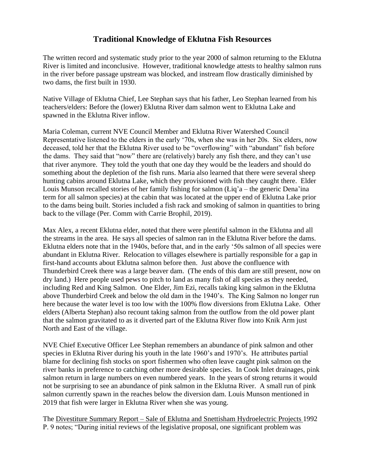## **Traditional Knowledge of Eklutna Fish Resources**

The written record and systematic study prior to the year 2000 of salmon returning to the Eklutna River is limited and inconclusive. However, traditional knowledge attests to healthy salmon runs in the river before passage upstream was blocked, and instream flow drastically diminished by two dams, the first built in 1930.

Native Village of Eklutna Chief, Lee Stephan says that his father, Leo Stephan learned from his teachers/elders: Before the (lower) Eklutna River dam salmon went to Eklutna Lake and spawned in the Eklutna River inflow.

Maria Coleman, current NVE Council Member and Eklutna River Watershed Council Representative listened to the elders in the early '70s, when she was in her 20s. Six elders, now deceased, told her that the Eklutna River used to be "overflowing" with "abundant" fish before the dams. They said that "now" there are (relatively) barely any fish there, and they can't use that river anymore. They told the youth that one day they would be the leaders and should do something about the depletion of the fish runs. Maria also learned that there were several sheep hunting cabins around Eklutna Lake, which they provisioned with fish they caught there. Elder Louis Munson recalled stories of her family fishing for salmon  $(Eiq^2a -$  the generic Dena'ina term for all salmon species) at the cabin that was located at the upper end of Eklutna Lake prior to the dams being built. Stories included a fish rack and smoking of salmon in quantities to bring back to the village (Per. Comm with Carrie Brophil, 2019).

Max Alex, a recent Eklutna elder, noted that there were plentiful salmon in the Eklutna and all the streams in the area. He says all species of salmon ran in the Eklutna River before the dams. Eklutna elders note that in the 1940s, before that, and in the early '50s salmon of all species were abundant in Eklutna River. Relocation to villages elsewhere is partially responsible for a gap in first-hand accounts about Eklutna salmon before then. Just above the confluence with Thunderbird Creek there was a large beaver dam. (The ends of this dam are still present, now on dry land.) Here people used pews to pitch to land as many fish of all species as they needed, including Red and King Salmon. One Elder, Jim Ezi, recalls taking king salmon in the Eklutna above Thunderbird Creek and below the old dam in the 1940's. The King Salmon no longer run here because the water level is too low with the 100% flow diversions from Eklutna Lake. Other elders (Alberta Stephan) also recount taking salmon from the outflow from the old power plant that the salmon gravitated to as it diverted part of the Eklutna River flow into Knik Arm just North and East of the village.

NVE Chief Executive Officer Lee Stephan remembers an abundance of pink salmon and other species in Eklutna River during his youth in the late 1960's and 1970's. He attributes partial blame for declining fish stocks on sport fishermen who often leave caught pink salmon on the river banks in preference to catching other more desirable species. In Cook Inlet drainages, pink salmon return in large numbers on even numbered years. In the years of strong returns it would not be surprising to see an abundance of pink salmon in the Eklutna River. A small run of pink salmon currently spawn in the reaches below the diversion dam. Louis Munson mentioned in 2019 that fish were larger in Eklutna River when she was young.

The Divestiture Summary Report – Sale of Eklutna and Snettisham Hydroelectric Projects 1992 P. 9 notes; "During initial reviews of the legislative proposal, one significant problem was